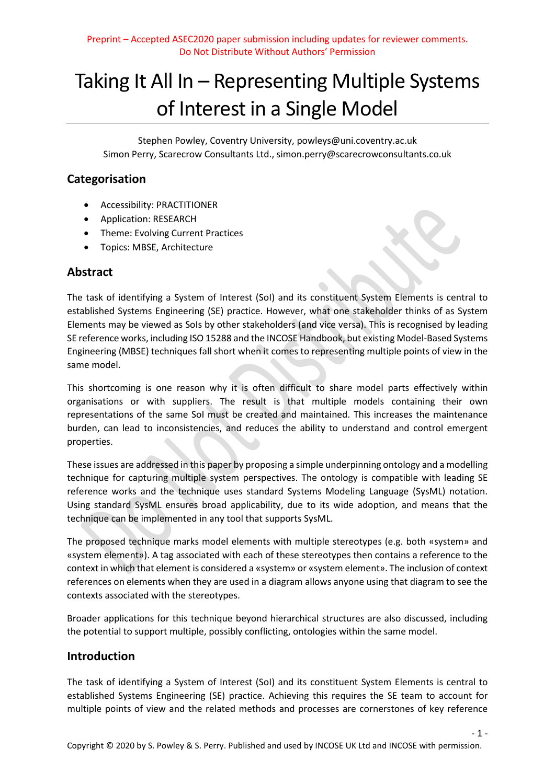# Taking It All In – Representing Multiple Systems of Interest in a Single Model

Stephen Powley, Coventry University, powleys@uni.coventry.ac.uk Simon Perry, Scarecrow Consultants Ltd., simon.perry@scarecrowconsultants.co.uk

# **Categorisation**

- Accessibility: PRACTITIONER
- Application: RESEARCH
- Theme: Evolving Current Practices
- Topics: MBSE, Architecture

# **Abstract**

The task of identifying a System of Interest (SoI) and its constituent System Elements is central to established Systems Engineering (SE) practice. However, what one stakeholder thinks of as System Elements may be viewed as SoIs by other stakeholders (and vice versa). This is recognised by leading SE reference works, including ISO 15288 and the INCOSE Handbook, but existing Model-Based Systems Engineering (MBSE) techniques fall short when it comes to representing multiple points of view in the same model.

This shortcoming is one reason why it is often difficult to share model parts effectively within organisations or with suppliers. The result is that multiple models containing their own representations of the same SoI must be created and maintained. This increases the maintenance burden, can lead to inconsistencies, and reduces the ability to understand and control emergent properties.

These issues are addressed in this paper by proposing a simple underpinning ontology and a modelling technique for capturing multiple system perspectives. The ontology is compatible with leading SE reference works and the technique uses standard Systems Modeling Language (SysML) notation. Using standard SysML ensures broad applicability, due to its wide adoption, and means that the technique can be implemented in any tool that supports SysML.

The proposed technique marks model elements with multiple stereotypes (e.g. both «system» and «system element»). A tag associated with each of these stereotypes then contains a reference to the context in which that element is considered a «system» or «system element». The inclusion of context references on elements when they are used in a diagram allows anyone using that diagram to see the contexts associated with the stereotypes.

Broader applications for this technique beyond hierarchical structures are also discussed, including the potential to support multiple, possibly conflicting, ontologies within the same model.

## **Introduction**

The task of identifying a System of Interest (SoI) and its constituent System Elements is central to established Systems Engineering (SE) practice. Achieving this requires the SE team to account for multiple points of view and the related methods and processes are cornerstones of key reference

 $-1 -$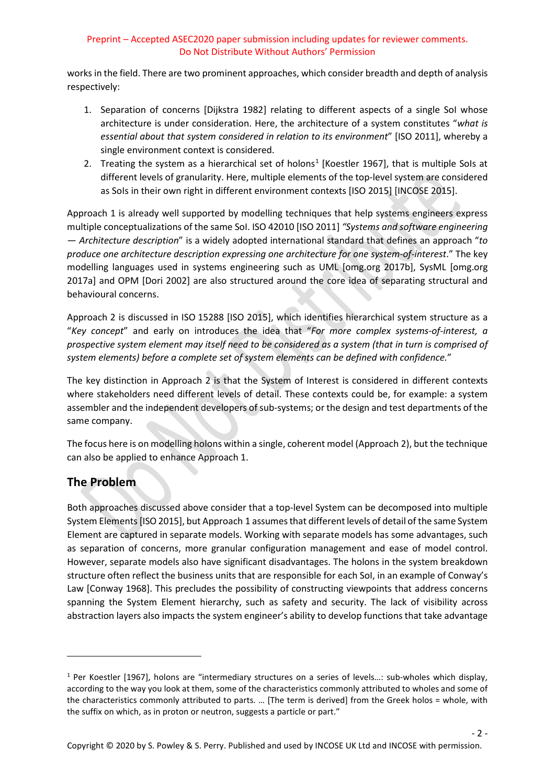works in the field. There are two prominent approaches, which consider breadth and depth of analysis respectively:

- 1. Separation of concerns [Dijkstra 1982] relating to different aspects of a single SoI whose architecture is under consideration. Here, the architecture of a system constitutes "*what is essential about that system considered in relation to its environment*" [ISO 2011], whereby a single environment context is considered.
- 2. Treating the system as a hierarchical set of holons<sup>[1](#page-1-0)</sup> [Koestler 1967], that is multiple SoIs at different levels of granularity. Here, multiple elements of the top-level system are considered as SoIs in their own right in different environment contexts [ISO 2015] [INCOSE 2015].

Approach 1 is already well supported by modelling techniques that help systems engineers express multiple conceptualizations of the same SoI. ISO 42010 [ISO 2011] *"Systems and software engineering — Architecture description*" is a widely adopted international standard that defines an approach "*to produce one architecture description expressing one architecture for one system-of-interest*." The key modelling languages used in systems engineering such as UML [omg.org 2017b], SysML [omg.org 2017a] and OPM [Dori 2002] are also structured around the core idea of separating structural and behavioural concerns.

Approach 2 is discussed in ISO 15288 [ISO 2015], which identifies hierarchical system structure as a "*Key concept*" and early on introduces the idea that "*For more complex systems-of-interest, a prospective system element may itself need to be considered as a system (that in turn is comprised of system elements) before a complete set of system elements can be defined with confidence.*"

The key distinction in Approach 2 is that the System of Interest is considered in different contexts where stakeholders need different levels of detail. These contexts could be, for example: a system assembler and the independent developers of sub-systems; or the design and test departments of the same company.

The focus here is on modelling holons within a single, coherent model (Approach 2), but the technique can also be applied to enhance Approach 1.

# **The Problem**

 $\overline{a}$ 

Both approaches discussed above consider that a top-level System can be decomposed into multiple System Elements [ISO 2015], but Approach 1 assumes that different levels of detail of the same System Element are captured in separate models. Working with separate models has some advantages, such as separation of concerns, more granular configuration management and ease of model control. However, separate models also have significant disadvantages. The holons in the system breakdown structure often reflect the business units that are responsible for each SoI, in an example of Conway's Law [Conway 1968]. This precludes the possibility of constructing viewpoints that address concerns spanning the System Element hierarchy, such as safety and security. The lack of visibility across abstraction layers also impacts the system engineer's ability to develop functions that take advantage

 $-2 -$ 

<span id="page-1-0"></span> $1$  Per Koestler [1967], holons are "intermediary structures on a series of levels...: sub-wholes which display, according to the way you look at them, some of the characteristics commonly attributed to wholes and some of the characteristics commonly attributed to parts. … [The term is derived] from the Greek holos = whole, with the suffix on which, as in proton or neutron, suggests a particle or part."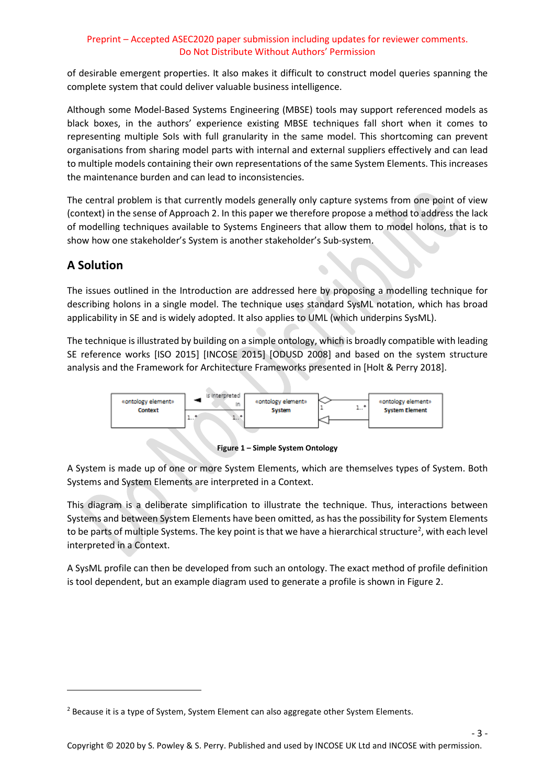of desirable emergent properties. It also makes it difficult to construct model queries spanning the complete system that could deliver valuable business intelligence.

Although some Model-Based Systems Engineering (MBSE) tools may support referenced models as black boxes, in the authors' experience existing MBSE techniques fall short when it comes to representing multiple SoIs with full granularity in the same model. This shortcoming can prevent organisations from sharing model parts with internal and external suppliers effectively and can lead to multiple models containing their own representations of the same System Elements. This increases the maintenance burden and can lead to inconsistencies.

The central problem is that currently models generally only capture systems from one point of view (context) in the sense of Approach 2. In this paper we therefore propose a method to address the lack of modelling techniques available to Systems Engineers that allow them to model holons, that is to show how one stakeholder's System is another stakeholder's Sub-system.

# **A Solution**

**.** 

The issues outlined in the Introduction are addressed here by proposing a modelling technique for describing holons in a single model. The technique uses standard SysML notation, which has broad applicability in SE and is widely adopted. It also applies to UML (which underpins SysML).

The technique is illustrated by building on a simple ontology, which is broadly compatible with leading SE reference works [ISO 2015] [INCOSE 2015] [ODUSD 2008] and based on the system structure analysis and the Framework for Architecture Frameworks presented in [Holt & Perry 2018].



**Figure 1 – Simple System Ontology**

A System is made up of one or more System Elements, which are themselves types of System. Both Systems and System Elements are interpreted in a Context.

This diagram is a deliberate simplification to illustrate the technique. Thus, interactions between Systems and between System Elements have been omitted, as has the possibility for System Elements to be parts of multiple Systems. The key point is that we have a hierarchical structure<sup>[2](#page-2-0)</sup>, with each level interpreted in a Context.

A SysML profile can then be developed from such an ontology. The exact method of profile definition is tool dependent, but an example diagram used to generate a profile is shown in Figure 2.

- 3 -

<span id="page-2-0"></span><sup>&</sup>lt;sup>2</sup> Because it is a type of System, System Element can also aggregate other System Elements.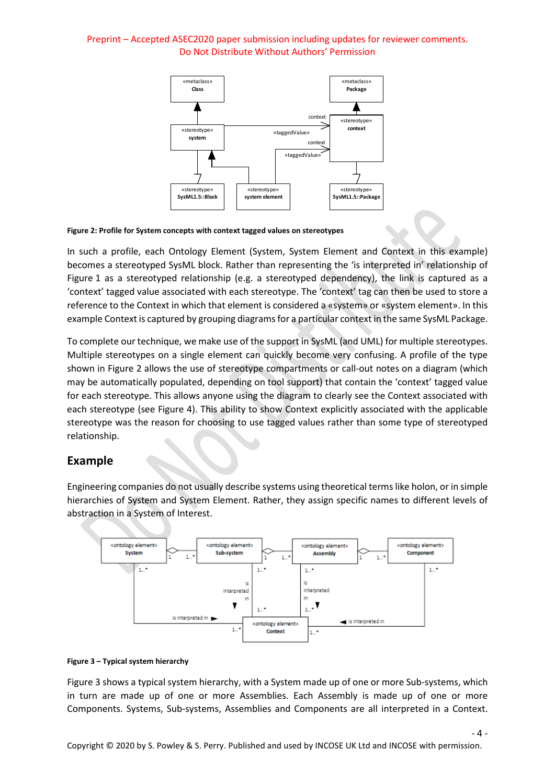

#### **Figure 2: Profile for System concepts with context tagged values on stereotypes**

In such a profile, each Ontology Element (System, System Element and Context in this example) becomes a stereotyped SysML block. Rather than representing the 'is interpreted in' relationship of Figure 1 as a stereotyped relationship (e.g. a stereotyped dependency), the link is captured as a 'context' tagged value associated with each stereotype. The 'context' tag can then be used to store a reference to the Context in which that element is considered a «system» or «system element». In this example Context is captured by grouping diagrams for a particular context in the same SysML Package.

To complete our technique, we make use of the support in SysML (and UML) for multiple stereotypes. Multiple stereotypes on a single element can quickly become very confusing. A profile of the type shown in Figure 2 allows the use of stereotype compartments or call-out notes on a diagram (which may be automatically populated, depending on tool support) that contain the 'context' tagged value for each stereotype. This allows anyone using the diagram to clearly see the Context associated with each stereotype (see Figure 4). This ability to show Context explicitly associated with the applicable stereotype was the reason for choosing to use tagged values rather than some type of stereotyped relationship.

## **Example**

Engineering companies do not usually describe systems using theoretical terms like holon, or in simple hierarchies of System and System Element. Rather, they assign specific names to different levels of abstraction in a System of Interest.



#### **Figure 3 – Typical system hierarchy**

Figure 3 shows a typical system hierarchy, with a System made up of one or more Sub-systems, which in turn are made up of one or more Assemblies. Each Assembly is made up of one or more Components. Systems, Sub-systems, Assemblies and Components are all interpreted in a Context.

 $-4-$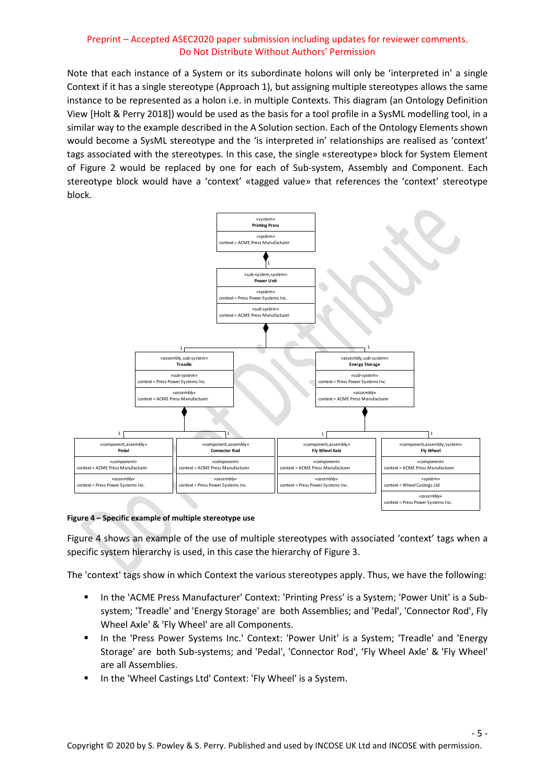Note that each instance of a System or its subordinate holons will only be 'interpreted in' a single Context if it has a single stereotype (Approach 1), but assigning multiple stereotypes allows the same instance to be represented as a holon i.e. in multiple Contexts. This diagram (an Ontology Definition View [Holt & Perry 2018]) would be used as the basis for a tool profile in a SysML modelling tool, in a similar way to the example described in the A Solution section. Each of the Ontology Elements shown would become a SysML stereotype and the 'is interpreted in' relationships are realised as 'context' tags associated with the stereotypes. In this case, the single «stereotype» block for System Element of Figure 2 would be replaced by one for each of Sub-system, Assembly and Component. Each stereotype block would have a 'context' «tagged value» that references the 'context' stereotype block.



#### **Figure 4 – Specific example of multiple stereotype use**

Figure 4 shows an example of the use of multiple stereotypes with associated 'context' tags when a specific system hierarchy is used, in this case the hierarchy of Figure 3.

The 'context' tags show in which Context the various stereotypes apply. Thus, we have the following:

- In the 'ACME Press Manufacturer' Context: 'Printing Press' is a System; 'Power Unit' is a Subsystem; 'Treadle' and 'Energy Storage' are both Assemblies; and 'Pedal', 'Connector Rod', Fly Wheel Axle' & 'Fly Wheel' are all Components.
- In the 'Press Power Systems Inc.' Context: 'Power Unit' is a System; 'Treadle' and 'Energy Storage' are both Sub-systems; and 'Pedal', 'Connector Rod', 'Fly Wheel Axle' & 'Fly Wheel' are all Assemblies.
- In the 'Wheel Castings Ltd' Context: 'Fly Wheel' is a System.

- 5 -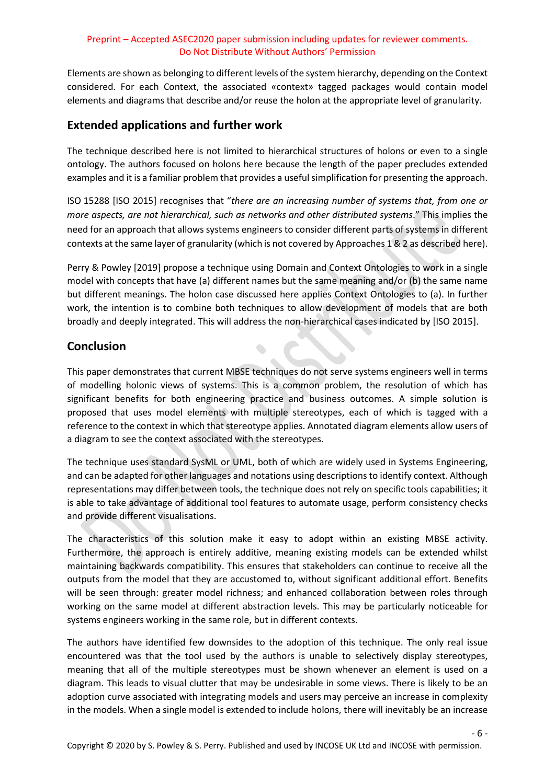Elements are shown as belonging to different levels of the system hierarchy, depending on the Context considered. For each Context, the associated «context» tagged packages would contain model elements and diagrams that describe and/or reuse the holon at the appropriate level of granularity.

# **Extended applications and further work**

The technique described here is not limited to hierarchical structures of holons or even to a single ontology. The authors focused on holons here because the length of the paper precludes extended examples and it is a familiar problem that provides a useful simplification for presenting the approach.

ISO 15288 [ISO 2015] recognises that "*there are an increasing number of systems that, from one or more aspects, are not hierarchical, such as networks and other distributed systems*." This implies the need for an approach that allows systems engineers to consider different parts of systems in different contexts at the same layer of granularity (which is not covered by Approaches 1 & 2 as described here).

Perry & Powley [2019] propose a technique using Domain and Context Ontologies to work in a single model with concepts that have (a) different names but the same meaning and/or (b) the same name but different meanings. The holon case discussed here applies Context Ontologies to (a). In further work, the intention is to combine both techniques to allow development of models that are both broadly and deeply integrated. This will address the non-hierarchical cases indicated by [ISO 2015].

# **Conclusion**

This paper demonstrates that current MBSE techniques do not serve systems engineers well in terms of modelling holonic views of systems. This is a common problem, the resolution of which has significant benefits for both engineering practice and business outcomes. A simple solution is proposed that uses model elements with multiple stereotypes, each of which is tagged with a reference to the context in which that stereotype applies. Annotated diagram elements allow users of a diagram to see the context associated with the stereotypes.

The technique uses standard SysML or UML, both of which are widely used in Systems Engineering, and can be adapted for other languages and notations using descriptions to identify context. Although representations may differ between tools, the technique does not rely on specific tools capabilities; it is able to take advantage of additional tool features to automate usage, perform consistency checks and provide different visualisations.

The characteristics of this solution make it easy to adopt within an existing MBSE activity. Furthermore, the approach is entirely additive, meaning existing models can be extended whilst maintaining backwards compatibility. This ensures that stakeholders can continue to receive all the outputs from the model that they are accustomed to, without significant additional effort. Benefits will be seen through: greater model richness; and enhanced collaboration between roles through working on the same model at different abstraction levels. This may be particularly noticeable for systems engineers working in the same role, but in different contexts.

The authors have identified few downsides to the adoption of this technique. The only real issue encountered was that the tool used by the authors is unable to selectively display stereotypes, meaning that all of the multiple stereotypes must be shown whenever an element is used on a diagram. This leads to visual clutter that may be undesirable in some views. There is likely to be an adoption curve associated with integrating models and users may perceive an increase in complexity in the models. When a single model is extended to include holons, there will inevitably be an increase

- 6 -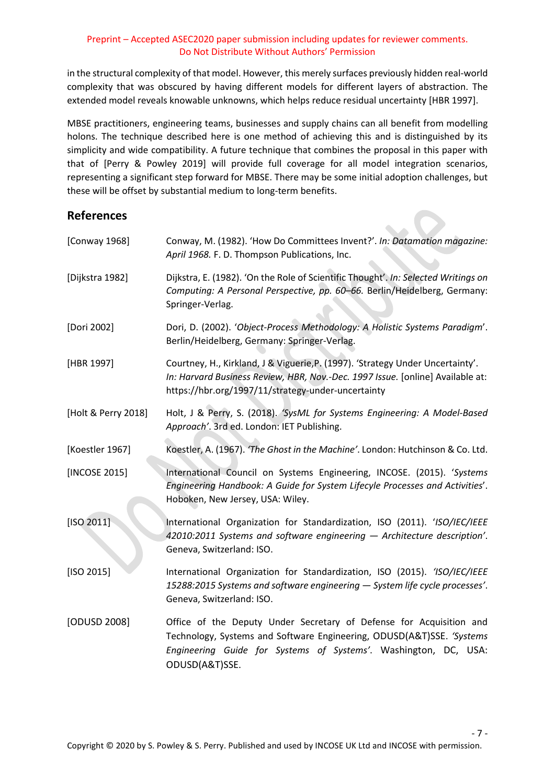in the structural complexity of that model. However, this merely surfaces previously hidden real-world complexity that was obscured by having different models for different layers of abstraction. The extended model reveals knowable unknowns, which helps reduce residual uncertainty [HBR 1997].

MBSE practitioners, engineering teams, businesses and supply chains can all benefit from modelling holons. The technique described here is one method of achieving this and is distinguished by its simplicity and wide compatibility. A future technique that combines the proposal in this paper with that of [Perry & Powley 2019] will provide full coverage for all model integration scenarios, representing a significant step forward for MBSE. There may be some initial adoption challenges, but these will be offset by substantial medium to long-term benefits.

 $\sim$   $\Omega$ 

# **References**

| [Conway 1968]       | Conway, M. (1982). 'How Do Committees Invent?'. In: Datamation magazine:<br>April 1968. F. D. Thompson Publications, Inc.                                                                                                         |
|---------------------|-----------------------------------------------------------------------------------------------------------------------------------------------------------------------------------------------------------------------------------|
| [Dijkstra 1982]     | Dijkstra, E. (1982). 'On the Role of Scientific Thought'. In: Selected Writings on<br>Computing: A Personal Perspective, pp. 60-66. Berlin/Heidelberg, Germany:<br>Springer-Verlag.                                               |
| [Dori 2002]         | Dori, D. (2002). 'Object-Process Methodology: A Holistic Systems Paradigm'.<br>Berlin/Heidelberg, Germany: Springer-Verlag.                                                                                                       |
| [HBR 1997]          | Courtney, H., Kirkland, J & Viguerie, P. (1997). 'Strategy Under Uncertainty'.<br>In: Harvard Business Review, HBR, Nov.-Dec. 1997 Issue. [online] Available at:<br>https://hbr.org/1997/11/strategy-under-uncertainty            |
| [Holt & Perry 2018] | Holt, J & Perry, S. (2018). 'SysML for Systems Engineering: A Model-Based<br>Approach'. 3rd ed. London: IET Publishing.                                                                                                           |
| [Koestler 1967]     | Koestler, A. (1967). 'The Ghost in the Machine'. London: Hutchinson & Co. Ltd.                                                                                                                                                    |
| [INCOSE 2015]       | International Council on Systems Engineering, INCOSE. (2015). 'Systems<br>Engineering Handbook: A Guide for System Lifecyle Processes and Activities'.<br>Hoboken, New Jersey, USA: Wiley.                                        |
| [ISO 2011]          | International Organization for Standardization, ISO (2011). 'ISO/IEC/IEEE<br>42010:2011 Systems and software engineering - Architecture description'.<br>Geneva, Switzerland: ISO.                                                |
| [ISO 2015]          | International Organization for Standardization, ISO (2015). 'ISO/IEC/IEEE<br>15288:2015 Systems and software engineering - System life cycle processes'.<br>Geneva, Switzerland: ISO.                                             |
| [ODUSD 2008]        | Office of the Deputy Under Secretary of Defense for Acquisition and<br>Technology, Systems and Software Engineering, ODUSD(A&T)SSE. 'Systems<br>Engineering Guide for Systems of Systems'. Washington, DC, USA:<br>ODUSD(A&T)SSE. |

- 7 -